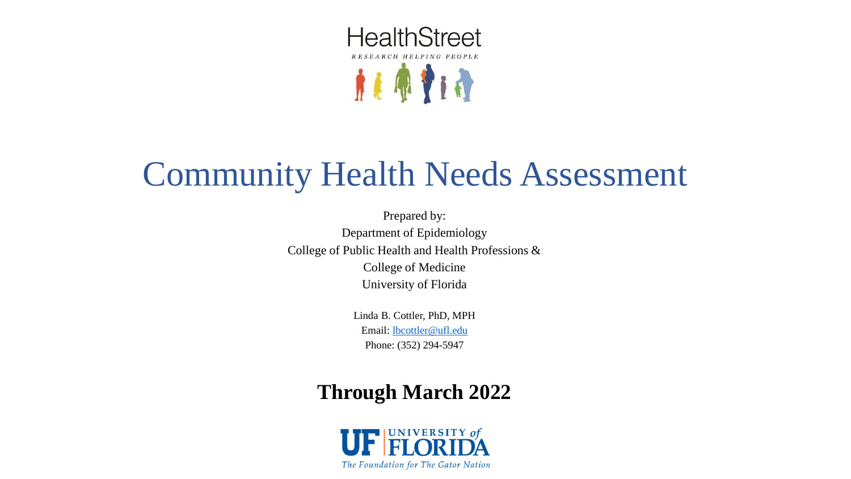

# Community Health Needs Assessment

Prepared by: Department of Epidemiology College of Public Health and Health Professions & College of Medicine University of Florida

> Linda B. Cottler, PhD, MPH Email: [lbcottler@ufl.edu](mailto:lbcottler@ufl.edu) Phone: (352) 294-5947

### **Through March 2022**

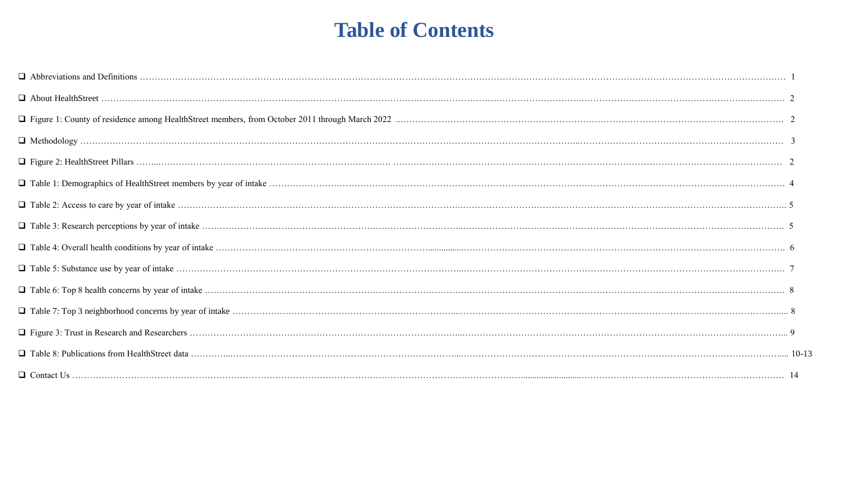### **Table of Contents**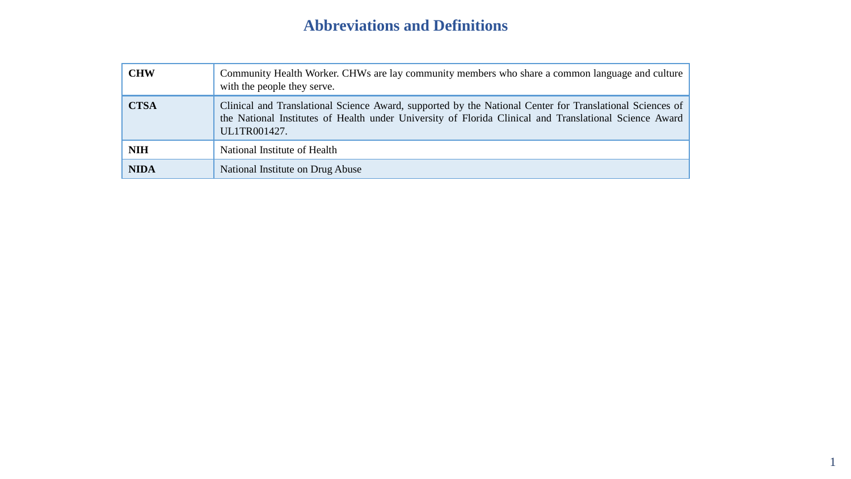### **Abbreviations and Definitions**

| <b>CHW</b>  | Community Health Worker. CHWs are lay community members who share a common language and culture<br>with the people they serve.                                                                                                     |
|-------------|------------------------------------------------------------------------------------------------------------------------------------------------------------------------------------------------------------------------------------|
| <b>CTSA</b> | Clinical and Translational Science Award, supported by the National Center for Translational Sciences of<br>the National Institutes of Health under University of Florida Clinical and Translational Science Award<br>UL1TR001427. |
| <b>NIH</b>  | National Institute of Health                                                                                                                                                                                                       |
| <b>NIDA</b> | National Institute on Drug Abuse                                                                                                                                                                                                   |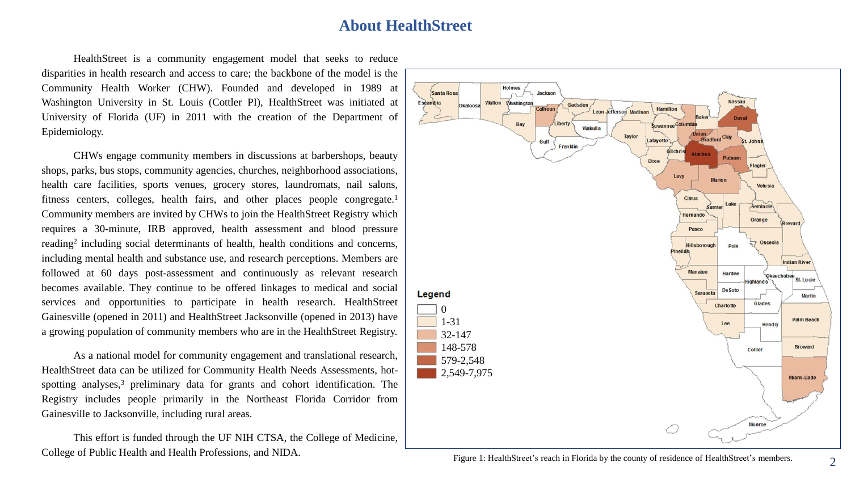### **About HealthStreet**

HealthStreet is a community engagement model that seeks to reduce disparities in health research and access to care; the backbone of the model is the Community Health Worker (CHW). Founded and developed in 1989 at Washington University in St. Louis (Cottler PI), HealthStreet was initiated at University of Florida (UF) in 2011 with the creation of the Department of Epidemiology.

CHWs engage community members in discussions at barbershops, beauty shops, parks, bus stops, community agencies, churches, neighborhood associations, health care facilities, sports venues, grocery stores, laundromats, nail salons, fitness centers, colleges, health fairs, and other places people congregate.<sup>1</sup> Community members are invited by CHWs to join the HealthStreet Registry which requires a 30-minute, IRB approved, health assessment and blood pressure reading<sup>2</sup> including social determinants of health, health conditions and concerns, including mental health and substance use, and research perceptions. Members are followed at 60 days post-assessment and continuously as relevant research becomes available. They continue to be offered linkages to medical and social services and opportunities to participate in health research. HealthStreet Gainesville (opened in 2011) and HealthStreet Jacksonville (opened in 2013) have a growing population of community members who are in the HealthStreet Registry.

As a national model for community engagement and translational research, HealthStreet data can be utilized for Community Health Needs Assessments, hotspotting analyses,<sup>3</sup> preliminary data for grants and cohort identification. The Registry includes people primarily in the Northeast Florida Corridor from Gainesville to Jacksonville, including rural areas.

This effort is funded through the UF NIH CTSA, the College of Medicine, College of Public Health and Health Professions, and NIDA.

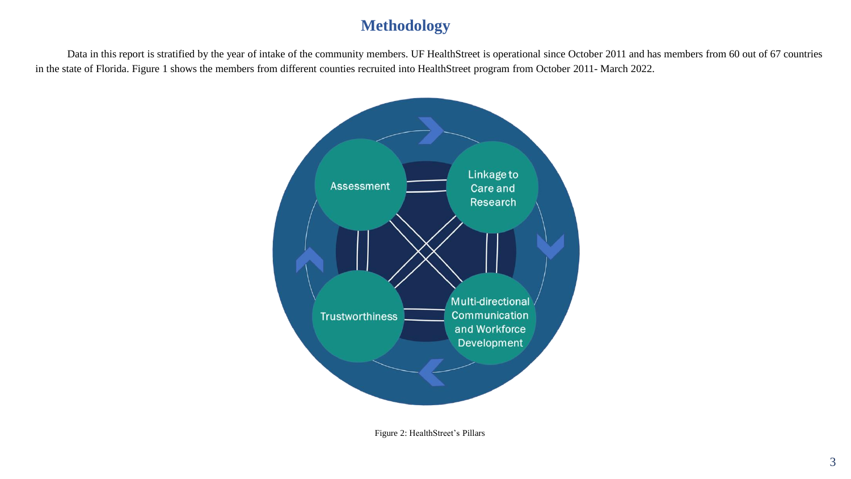### **Methodology**

Data in this report is stratified by the year of intake of the community members. UF HealthStreet is operational since October 2011 and has members from 60 out of 67 countries in the state of Florida. Figure 1 shows the members from different counties recruited into HealthStreet program from October 2011- March 2022.



Figure 2: HealthStreet's Pillars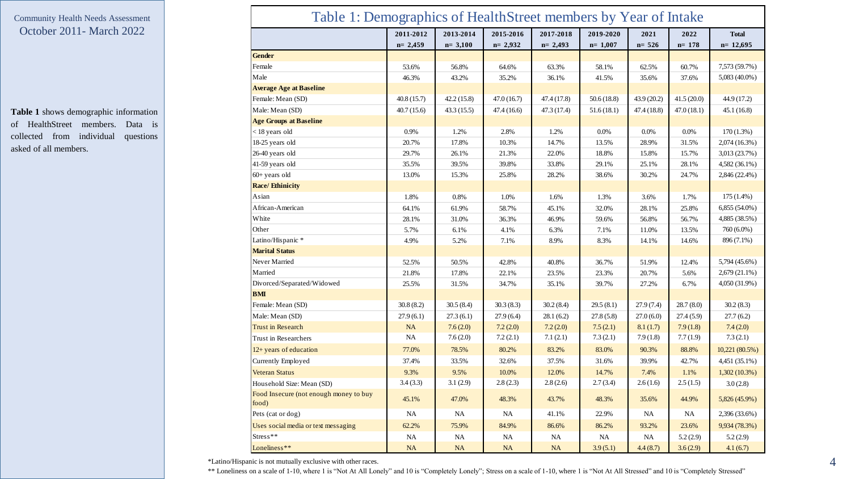**Table 1** shows demographic information of HealthStreet members. Data is collected from individual questions asked of all members.

| Table 1: Demographics of HealthStreet members by Year of Intake |                          |                        |                          |                        |                          |                   |                   |                            |
|-----------------------------------------------------------------|--------------------------|------------------------|--------------------------|------------------------|--------------------------|-------------------|-------------------|----------------------------|
|                                                                 | 2011-2012<br>$n = 2,459$ | 2013-2014<br>$n=3,100$ | 2015-2016<br>$n = 2,932$ | 2017-2018<br>$n=2,493$ | 2019-2020<br>$n = 1,007$ | 2021<br>$n = 526$ | 2022<br>$n = 178$ | <b>Total</b><br>$n=12,695$ |
| <b>Gender</b>                                                   |                          |                        |                          |                        |                          |                   |                   |                            |
| Female                                                          | 53.6%                    | 56.8%                  | 64.6%                    | 63.3%                  | 58.1%                    | 62.5%             | 60.7%             | 7,573 (59.7%)              |
| Male                                                            | 46.3%                    | 43.2%                  | 35.2%                    | 36.1%                  | 41.5%                    | 35.6%             | 37.6%             | 5,083 (40.0%)              |
| <b>Average Age at Baseline</b>                                  |                          |                        |                          |                        |                          |                   |                   |                            |
| Female: Mean (SD)                                               | 40.8 (15.7)              | 42.2(15.8)             | 47.0(16.7)               | 47.4 (17.8)            | 50.6(18.8)               | 43.9 (20.2)       | 41.5(20.0)        | 44.9 (17.2)                |
| Male: Mean (SD)                                                 | 40.7(15.6)               | 43.3(15.5)             | 47.4 (16.6)              | 47.3 (17.4)            | 51.6(18.1)               | 47.4 (18.8)       | 47.0(18.1)        | 45.1(16.8)                 |
| <b>Age Groups at Baseline</b>                                   |                          |                        |                          |                        |                          |                   |                   |                            |
| < 18 years old                                                  | 0.9%                     | 1.2%                   | 2.8%                     | 1.2%                   | 0.0%                     | 0.0%              | 0.0%              | $170(1.3\%)$               |
| 18-25 years old                                                 | 20.7%                    | 17.8%                  | 10.3%                    | 14.7%                  | 13.5%                    | 28.9%             | 31.5%             | 2,074(16.3%)               |
| 26-40 years old                                                 | 29.7%                    | 26.1%                  | 21.3%                    | 22.0%                  | 18.8%                    | 15.8%             | 15.7%             | 3,013 (23.7%)              |
| 41-59 years old                                                 | 35.5%                    | 39.5%                  | 39.8%                    | 33.8%                  | 29.1%                    | 25.1%             | 28.1%             | 4,582 (36.1%)              |
| $60+$ years old                                                 | 13.0%                    | 15.3%                  | 25.8%                    | 28.2%                  | 38.6%                    | 30.2%             | 24.7%             | 2,846 (22.4%)              |
| <b>Race/Ethinicity</b>                                          |                          |                        |                          |                        |                          |                   |                   |                            |
| Asian                                                           | 1.8%                     | 0.8%                   | 1.0%                     | 1.6%                   | 1.3%                     | 3.6%              | 1.7%              | $175(1.4\%)$               |
| African-American                                                | 64.1%                    | 61.9%                  | 58.7%                    | 45.1%                  | 32.0%                    | 28.1%             | 25.8%             | $6,855(54.0\%)$            |
| White                                                           | 28.1%                    | 31.0%                  | 36.3%                    | 46.9%                  | 59.6%                    | 56.8%             | 56.7%             | 4,885 (38.5%)              |
| Other                                                           | 5.7%                     | 6.1%                   | 4.1%                     | 6.3%                   | 7.1%                     | 11.0%             | 13.5%             | 760 (6.0%)                 |
| Latino/Hispanic *                                               | 4.9%                     | 5.2%                   | 7.1%                     | 8.9%                   | 8.3%                     | 14.1%             | 14.6%             | 896 (7.1%)                 |
| <b>Marital Status</b>                                           |                          |                        |                          |                        |                          |                   |                   |                            |
| Never Married                                                   | 52.5%                    | 50.5%                  | 42.8%                    | 40.8%                  | 36.7%                    | 51.9%             | 12.4%             | 5,794 (45.6%)              |
| Married                                                         | 21.8%                    | 17.8%                  | 22.1%                    | 23.5%                  | 23.3%                    | 20.7%             | 5.6%              | $2,679(21.1\%)$            |
| Divorced/Separated/Widowed                                      | 25.5%                    | 31.5%                  | 34.7%                    | 35.1%                  | 39.7%                    | 27.2%             | 6.7%              | 4,050 (31.9%)              |
| <b>BMI</b>                                                      |                          |                        |                          |                        |                          |                   |                   |                            |
| Female: Mean (SD)                                               | 30.8(8.2)                | 30.5(8.4)              | 30.3(8.3)                | 30.2(8.4)              | 29.5(8.1)                | 27.9(7.4)         | 28.7(8.0)         | 30.2(8.3)                  |
| Male: Mean (SD)                                                 | 27.9(6.1)                | 27.3(6.1)              | 27.9(6.4)                | 28.1(6.2)              | 27.8(5.8)                | 27.0(6.0)         | 27.4(5.9)         | 27.7(6.2)                  |
| <b>Trust in Research</b>                                        | <b>NA</b>                | 7.6(2.0)               | 7.2(2.0)                 | 7.2(2.0)               | 7.5(2.1)                 | 8.1(1.7)          | 7.9(1.8)          | 7.4(2.0)                   |
| Trust in Researchers                                            | <b>NA</b>                | 7.6(2.0)               | 7.2(2.1)                 | 7.1(2.1)               | 7.3(2.1)                 | 7.9(1.8)          | 7.7(1.9)          | 7.3(2.1)                   |
| 12+ years of education                                          | 77.0%                    | 78.5%                  | 80.2%                    | 83.2%                  | 83.0%                    | 90.3%             | 88.8%             | 10,221 (80.5%)             |
| Currently Employed                                              | 37.4%                    | 33.5%                  | 32.6%                    | 37.5%                  | 31.6%                    | 39.9%             | 42.7%             | 4,451 (35.1%)              |
| <b>Veteran Status</b>                                           | 9.3%                     | 9.5%                   | 10.0%                    | 12.0%                  | 14.7%                    | 7.4%              | 1.1%              | $1,302(10.3\%)$            |
| Household Size: Mean (SD)                                       | 3.4(3.3)                 | 3.1(2.9)               | 2.8(2.3)                 | 2.8(2.6)               | 2.7(3.4)                 | 2.6(1.6)          | 2.5(1.5)          | 3.0(2.8)                   |
| Food Insecure (not enough money to buy<br>food)                 | 45.1%                    | 47.0%                  | 48.3%                    | 43.7%                  | 48.3%                    | 35.6%             | 44.9%             | 5,826 (45.9%)              |
| Pets (cat or dog)                                               | NA                       | <b>NA</b>              | <b>NA</b>                | 41.1%                  | 22.9%                    | NA                | <b>NA</b>         | 2,396 (33.6%)              |
| Uses social media or text messaging                             | 62.2%                    | 75.9%                  | 84.9%                    | 86.6%                  | 86.2%                    | 93.2%             | 23.6%             | 9,934 (78.3%)              |
| Stress**                                                        | NA                       | NA.                    | NA                       | NA                     | <b>NA</b>                | <b>NA</b>         | 5.2(2.9)          | 5.2(2.9)                   |
| Loneliness**                                                    | <b>NA</b>                | <b>NA</b>              | <b>NA</b>                | <b>NA</b>              | 3.9(5.1)                 | 4.4(8.7)          | 3.6(2.9)          | 4.1(6.7)                   |

\*Latino/Hispanic is not mutually exclusive with other races.

\*\* Loneliness on a scale of 1-10, where 1 is "Not At All Lonely" and 10 is "Completely Lonely"; Stress on a scale of 1-10, where 1 is "Not At All Stressed" and 10 is "Completely Stressed"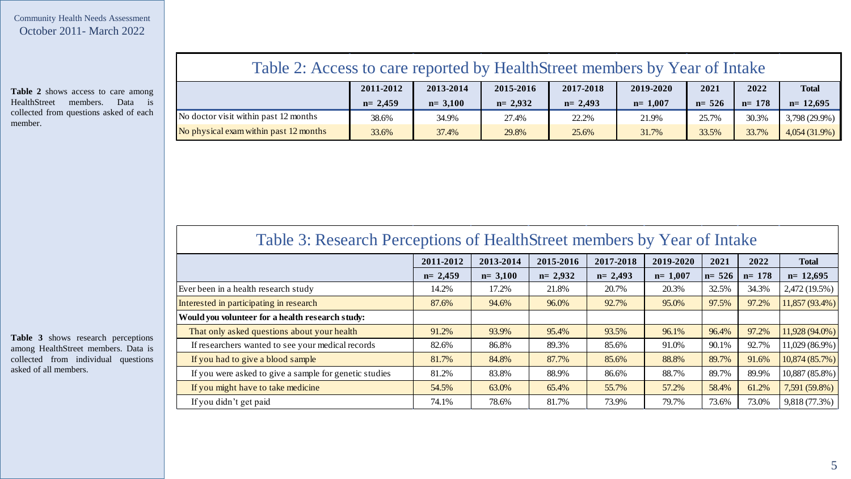**Table 2** shows access to care among HealthStreet members . Data is collected from questions asked of each member .

### Table 2: Access to care reported by HealthStreet members by Year of Intake

|                                        | 2011-2012   | 2013-2014 | 2015-2016 | 2017-2018 | 2019-2020   | 2021      | 2022      | <b>Total</b>    |
|----------------------------------------|-------------|-----------|-----------|-----------|-------------|-----------|-----------|-----------------|
|                                        | $n = 2,459$ | $n=3,100$ | $n=2.932$ | $n=2,493$ | $n = 1,007$ | $n = 526$ | $n = 178$ | $n=12.695$      |
| No doctor visit within past 12 months  | 38.6%       | 34.9%     | 27.4%     | 22.2%     | 21.9%       | 25.7%     | 30.3%     | $3,798(29.9\%)$ |
| No physical exam within past 12 months | 33.6%       | 37.4%     | 29.8%     | 25.6%     | 31.7%       | 33.5%     | 33.7%     | $4,054(31.9\%)$ |

### Table 3: Research Perceptions of HealthStreet members by Year of Intake

| 2011-2012   | 2013-2014 | 2015-2016   | 2017-2018 | 2019-2020   | 2021      | 2022      | <b>Total</b>   |
|-------------|-----------|-------------|-----------|-------------|-----------|-----------|----------------|
| $n = 2,459$ | $n=3,100$ | $n = 2,932$ | $n=2,493$ | $n = 1,007$ | $n = 526$ | $n = 178$ | $n=12,695$     |
| 14.2%       | 17.2%     | 21.8%       | 20.7%     | 20.3%       | 32.5%     | 34.3%     | 2,472 (19.5%)  |
| 87.6%       | 94.6%     | 96.0%       | 92.7%     | 95.0%       | 97.5%     | 97.2%     | 11,857 (93.4%) |
|             |           |             |           |             |           |           |                |
| 91.2%       | 93.9%     | 95.4%       | 93.5%     | 96.1%       | 96.4%     | 97.2%     | 11,928 (94.0%) |
| 82.6%       | 86.8%     | 89.3%       | 85.6%     | 91.0%       | 90.1%     | 92.7%     | 11,029 (86.9%) |
| 81.7%       | 84.8%     | 87.7%       | 85.6%     | 88.8%       | 89.7%     | 91.6%     | 10,874 (85.7%) |
| 81.2%       | 83.8%     | 88.9%       | 86.6%     | 88.7%       | 89.7%     | 89.9%     | 10,887 (85.8%) |
| 54.5%       | 63.0%     | 65.4%       | 55.7%     | 57.2%       | 58.4%     | 61.2%     | 7,591 (59.8%)  |
| 74.1%       | 78.6%     | 81.7%       | 73.9%     | 79.7%       | 73.6%     | 73.0%     | 9,818 (77.3%)  |
|             |           |             |           |             |           |           |                |

**Table 3** shows research perceptions among HealthStreet members . Data is collected from individual questions asked of all members .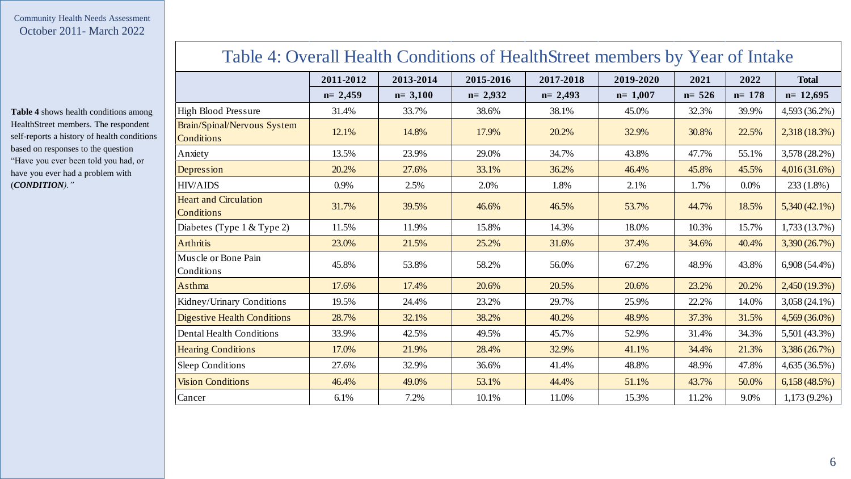**Table 4** shows health conditions among HealthStreet members. The respondent self-reports a history of health conditions based on responses to the question "Have you ever been told you had, or have you ever had a problem with (*CONDITION)."*

### Table 4: Overall Health Conditions of HealthStreet members by Year of Intake

|                                            | 2011-2012 | 2013-2014 | 2015-2016   | 2017-2018 | 2019-2020 | 2021      | 2022      | <b>Total</b>    |
|--------------------------------------------|-----------|-----------|-------------|-----------|-----------|-----------|-----------|-----------------|
|                                            | $n=2,459$ | $n=3,100$ | $n = 2,932$ | $n=2,493$ | $n=1,007$ | $n = 526$ | $n = 178$ | $n=12,695$      |
| <b>High Blood Pressure</b>                 | 31.4%     | 33.7%     | 38.6%       | 38.1%     | 45.0%     | 32.3%     | 39.9%     | 4,593 (36.2%)   |
| Brain/Spinal/Nervous System<br>Conditions  | 12.1%     | 14.8%     | 17.9%       | 20.2%     | 32.9%     | 30.8%     | 22.5%     | 2,318 (18.3%)   |
| Anxiety                                    | 13.5%     | 23.9%     | 29.0%       | 34.7%     | 43.8%     | 47.7%     | 55.1%     | 3,578 (28.2%)   |
| Depression                                 | 20.2%     | 27.6%     | 33.1%       | 36.2%     | 46.4%     | 45.8%     | 45.5%     | 4,016 (31.6%)   |
| <b>HIV/AIDS</b>                            | 0.9%      | 2.5%      | 2.0%        | 1.8%      | 2.1%      | 1.7%      | 0.0%      | $233(1.8\%)$    |
| <b>Heart and Circulation</b><br>Conditions | 31.7%     | 39.5%     | 46.6%       | 46.5%     | 53.7%     | 44.7%     | 18.5%     | $5,340(42.1\%)$ |
| Diabetes (Type 1 & Type 2)                 | 11.5%     | 11.9%     | 15.8%       | 14.3%     | 18.0%     | 10.3%     | 15.7%     | 1,733(13.7%)    |
| <b>Arthritis</b>                           | 23.0%     | 21.5%     | 25.2%       | 31.6%     | 37.4%     | 34.6%     | 40.4%     | 3,390 (26.7%)   |
| Muscle or Bone Pain<br>Conditions          | 45.8%     | 53.8%     | 58.2%       | 56.0%     | 67.2%     | 48.9%     | 43.8%     | $6,908(54.4\%)$ |
| Asthma                                     | 17.6%     | 17.4%     | 20.6%       | 20.5%     | 20.6%     | 23.2%     | 20.2%     | $2,450(19.3\%)$ |
| Kidney/Urinary Conditions                  | 19.5%     | 24.4%     | 23.2%       | 29.7%     | 25.9%     | 22.2%     | 14.0%     | 3,058 (24.1%)   |
| <b>Digestive Health Conditions</b>         | 28.7%     | 32.1%     | 38.2%       | 40.2%     | 48.9%     | 37.3%     | 31.5%     | 4,569 (36.0%)   |
| <b>Dental Health Conditions</b>            | 33.9%     | 42.5%     | 49.5%       | 45.7%     | 52.9%     | 31.4%     | 34.3%     | 5,501 (43.3%)   |
| <b>Hearing Conditions</b>                  | 17.0%     | 21.9%     | 28.4%       | 32.9%     | 41.1%     | 34.4%     | 21.3%     | 3,386 (26.7%)   |
| <b>Sleep Conditions</b>                    | 27.6%     | 32.9%     | 36.6%       | 41.4%     | 48.8%     | 48.9%     | 47.8%     | 4,635 (36.5%)   |
| <b>Vision Conditions</b>                   | 46.4%     | 49.0%     | 53.1%       | 44.4%     | 51.1%     | 43.7%     | 50.0%     | 6,158(48.5%)    |
| Cancer                                     | 6.1%      | 7.2%      | 10.1%       | 11.0%     | 15.3%     | 11.2%     | 9.0%      | $1,173(9.2\%)$  |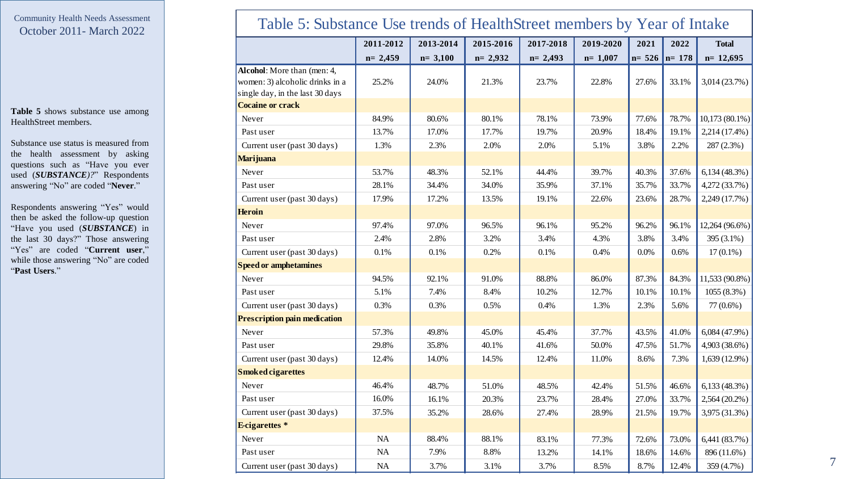**Table 5** shows substance use among HealthStreet members .

Substance use status is measured from the health assessment by asking questions such as "Have you ever used (*SUBSTANCE*)?" Respondents answering "No" are coded "**Never** . "

Respondents answering "Yes" would then be asked the follow -up question "Have you used (*SUBSTANCE* ) in the last 30 days?" Those answering "Yes" are coded "**Current user**," while those answering "No" are coded "**Past Users**."

| Table 5: Substance Use trends of HealthStreet members by Year of Intake                           |           |           |           |           |           |          |           |                 |
|---------------------------------------------------------------------------------------------------|-----------|-----------|-----------|-----------|-----------|----------|-----------|-----------------|
|                                                                                                   | 2011-2012 | 2013-2014 | 2015-2016 | 2017-2018 | 2019-2020 | 2021     | 2022      | <b>Total</b>    |
|                                                                                                   | $n=2,459$ | $n=3,100$ | $n=2,932$ | $n=2,493$ | $n=1,007$ | $n= 526$ | $n = 178$ | $n=12,695$      |
| Alcohol: More than (men: 4,<br>women: 3) alcoholic drinks in a<br>single day, in the last 30 days | 25.2%     | 24.0%     | 21.3%     | 23.7%     | 22.8%     | 27.6%    | 33.1%     | 3,014 (23.7%)   |
| <b>Cocaine or crack</b>                                                                           |           |           |           |           |           |          |           |                 |
| Never                                                                                             | 84.9%     | 80.6%     | 80.1%     | 78.1%     | 73.9%     | 77.6%    | 78.7%     | 10,173 (80.1%)  |
| Past user                                                                                         | 13.7%     | 17.0%     | 17.7%     | 19.7%     | 20.9%     | 18.4%    | 19.1%     | 2,214 (17.4%)   |
| Current user (past 30 days)                                                                       | 1.3%      | 2.3%      | 2.0%      | 2.0%      | 5.1%      | 3.8%     | 2.2%      | $287(2.3\%)$    |
| <b>Marijuana</b>                                                                                  |           |           |           |           |           |          |           |                 |
| Never                                                                                             | 53.7%     | 48.3%     | 52.1%     | 44.4%     | 39.7%     | 40.3%    | 37.6%     | 6,134(48.3%)    |
| Past user                                                                                         | 28.1%     | 34.4%     | 34.0%     | 35.9%     | 37.1%     | 35.7%    | 33.7%     | 4,272 (33.7%)   |
| Current user (past 30 days)                                                                       | 17.9%     | 17.2%     | 13.5%     | 19.1%     | 22.6%     | 23.6%    | 28.7%     | 2,249 (17.7%)   |
| <b>Heroin</b>                                                                                     |           |           |           |           |           |          |           |                 |
| Never                                                                                             | 97.4%     | 97.0%     | 96.5%     | 96.1%     | 95.2%     | 96.2%    | 96.1%     | 12,264 (96.6%)  |
| Past user                                                                                         | 2.4%      | 2.8%      | 3.2%      | 3.4%      | 4.3%      | 3.8%     | 3.4%      | 395 (3.1%)      |
| Current user (past 30 days)                                                                       | 0.1%      | 0.1%      | 0.2%      | 0.1%      | 0.4%      | 0.0%     | 0.6%      | $17(0.1\%)$     |
| <b>Speed or amphetamines</b>                                                                      |           |           |           |           |           |          |           |                 |
| Never                                                                                             | 94.5%     | 92.1%     | 91.0%     | 88.8%     | 86.0%     | 87.3%    | 84.3%     | 11,533 (90.8%)  |
| Past user                                                                                         | 5.1%      | 7.4%      | 8.4%      | 10.2%     | 12.7%     | 10.1%    | 10.1%     | $1055(8.3\%)$   |
| Current user (past 30 days)                                                                       | 0.3%      | 0.3%      | 0.5%      | 0.4%      | 1.3%      | 2.3%     | 5.6%      | 77 (0.6%)       |
| <b>Prescription pain medication</b>                                                               |           |           |           |           |           |          |           |                 |
| Never                                                                                             | 57.3%     | 49.8%     | 45.0%     | 45.4%     | 37.7%     | 43.5%    | 41.0%     | $6,084(47.9\%)$ |
| Past user                                                                                         | 29.8%     | 35.8%     | 40.1%     | 41.6%     | 50.0%     | 47.5%    | 51.7%     | 4,903 (38.6%)   |
| Current user (past 30 days)                                                                       | 12.4%     | 14.0%     | 14.5%     | 12.4%     | 11.0%     | 8.6%     | 7.3%      | $1,639(12.9\%)$ |
| <b>Smoked cigarettes</b>                                                                          |           |           |           |           |           |          |           |                 |
| Never                                                                                             | 46.4%     | 48.7%     | 51.0%     | 48.5%     | 42.4%     | 51.5%    | 46.6%     | 6,133(48.3%)    |
| Past user                                                                                         | 16.0%     | 16.1%     | 20.3%     | 23.7%     | 28.4%     | 27.0%    | 33.7%     | $2,564(20.2\%)$ |
| Current user (past 30 days)                                                                       | 37.5%     | 35.2%     | 28.6%     | 27.4%     | 28.9%     | 21.5%    | 19.7%     | 3,975 (31.3%)   |
| <b>E-cigarettes</b> *                                                                             |           |           |           |           |           |          |           |                 |
| Never                                                                                             | NA        | 88.4%     | 88.1%     | 83.1%     | 77.3%     | 72.6%    | 73.0%     | 6,441(83.7%)    |
| Past user                                                                                         | $\rm NA$  | 7.9%      | 8.8%      | 13.2%     | 14.1%     | 18.6%    | 14.6%     | 896 (11.6%)     |
| Current user (past 30 days)                                                                       | $\rm NA$  | 3.7%      | 3.1%      | 3.7%      | 8.5%      | 8.7%     | 12.4%     | 359 (4.7%)      |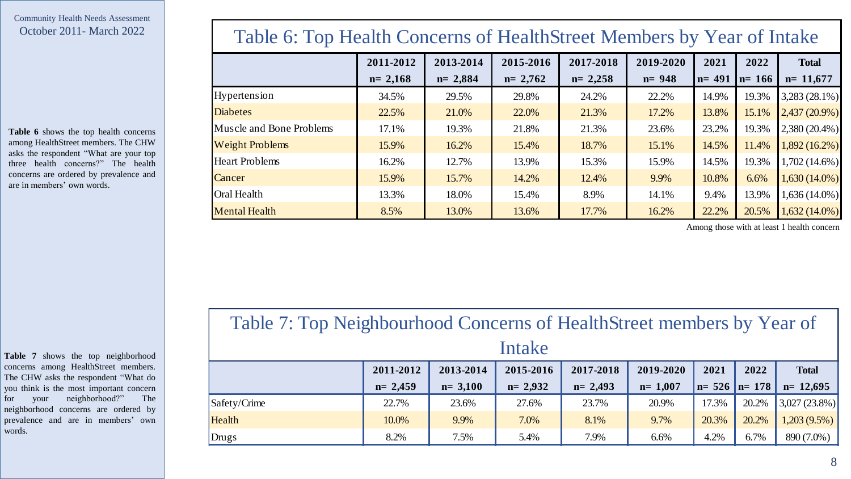**Table 6** shows the top health concerns among HealthStreet members. The CHW asks the respondent "What are your top three health concerns?" The health concerns are ordered by prevalence and are in members' own words.

### Table 6: Top Health Concerns of HealthStreet Members by Year of Intake

|                          | 2011-2012   | 2013-2014   | 2015-2016   | 2017-2018   | 2019-2020 | 2021      | 2022      | <b>Total</b>    |
|--------------------------|-------------|-------------|-------------|-------------|-----------|-----------|-----------|-----------------|
|                          | $n = 2,168$ | $n = 2,884$ | $n = 2,762$ | $n = 2,258$ | $n = 948$ | $n = 491$ | $n = 166$ | $n=11,677$      |
| Hypertension             | 34.5%       | 29.5%       | 29.8%       | 24.2%       | 22.2%     | 14.9%     | 19.3%     | 3,283 (28.1%)   |
| <b>Diabetes</b>          | 22.5%       | 21.0%       | 22.0%       | 21.3%       | 17.2%     | 13.8%     | 15.1%     | $2,437(20.9\%)$ |
| Muscle and Bone Problems | 17.1%       | 19.3%       | 21.8%       | 21.3%       | 23.6%     | 23.2%     | 19.3%     | $2,380(20.4\%)$ |
| <b>Weight Problems</b>   | 15.9%       | 16.2%       | 15.4%       | 18.7%       | 15.1%     | 14.5%     | 11.4%     | $1,892(16.2\%)$ |
| <b>Heart Problems</b>    | 16.2%       | 12.7%       | 13.9%       | 15.3%       | 15.9%     | 14.5%     | 19.3%     | 1,702 (14.6%)   |
| Cancer                   | 15.9%       | 15.7%       | 14.2%       | 12.4%       | 9.9%      | 10.8%     | 6.6%      | $1,630(14.0\%)$ |
| Oral Health              | 13.3%       | 18.0%       | 15.4%       | 8.9%        | 14.1%     | 9.4%      | 13.9%     | 1,636 (14.0%)   |
| <b>Mental Health</b>     | 8.5%        | 13.0%       | 13.6%       | 17.7%       | 16.2%     | 22.2%     | 20.5%     | $1,632(14.0\%)$ |

Among those with at least 1 health concern

**Table 7** shows the top neighborhood concerns among HealthStreet members. The CHW asks the respondent "What do you think is the most important concern for your neighborhood?" The neighborhood concerns are ordered by prevalence and are in members' own words.

## Table 7: Top Neighbourhood Concerns of HealthStreet members by Year of Intake

|              | 2011-2012   | 2013-2014 | 2015-2016   | 2017-2018   | 2019-2020   | 2021              | 2022  | <b>Total</b>           |
|--------------|-------------|-----------|-------------|-------------|-------------|-------------------|-------|------------------------|
|              | $n = 2,459$ | $n=3,100$ | $n = 2.932$ | $n = 2,493$ | $n = 1,007$ | $n= 526$ $n= 178$ |       | $n=12,695$             |
| Safety/Crime | 22.7%       | 23.6%     | 27.6%       | 23.7%       | 20.9%       | 17.3%             |       | $20.2\%$ 3,027 (23.8%) |
| Health       | 10.0%       | 9.9%      | 7.0%        | 8.1%        | 9.7%        | 20.3%             | 20.2% | $1,203(9.5\%)$         |
| Drugs        | 8.2%        | 7.5%      | 5.4%        | 7.9%        | 6.6%        | 4.2%              | 6.7%  | 890 (7.0%)             |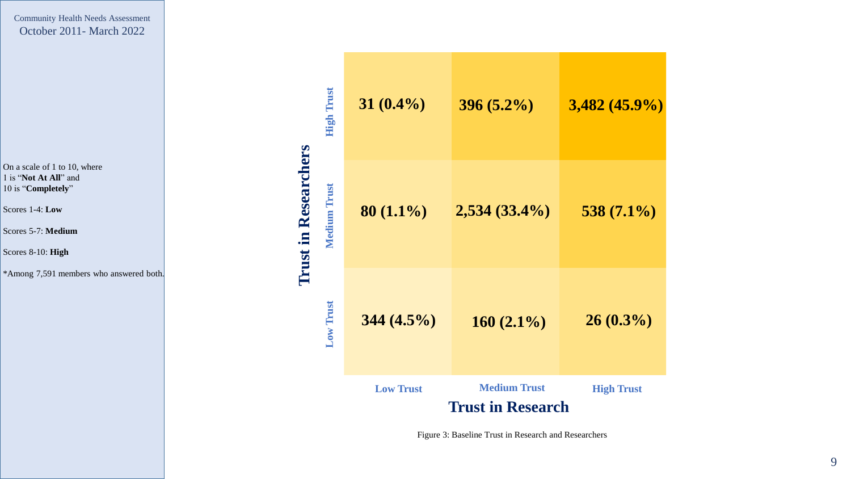On a scale of 1 to 10, where 1 is "**Not At All**" and 10 is "**Completely** "

Scores 1 -4: **Low**

Scores 5 -7: **Medium**

Scores 8 -10: **High**

\*Among 7,591 members who answered both.

| <b>High Trust</b>   | $31(0.4\%)$      | $396(5.2\%)$             | $3,482(45.9\%)$   |
|---------------------|------------------|--------------------------|-------------------|
| <b>Medium Trust</b> | $80(1.1\%)$      | $2,534(33.4\%)$          | $538(7.1\%)$      |
| <b>Low Trust</b>    | $344(4.5\%)$     | $160(2.1\%)$             | $26(0.3\%)$       |
|                     | <b>Low Trust</b> | <b>Medium Trust</b>      | <b>High Trust</b> |
|                     |                  | <b>Trust in Research</b> |                   |

**Trust in Researchers**

**Trust in Researchers** 

Figure 3: Baseline Trust in Research and Researchers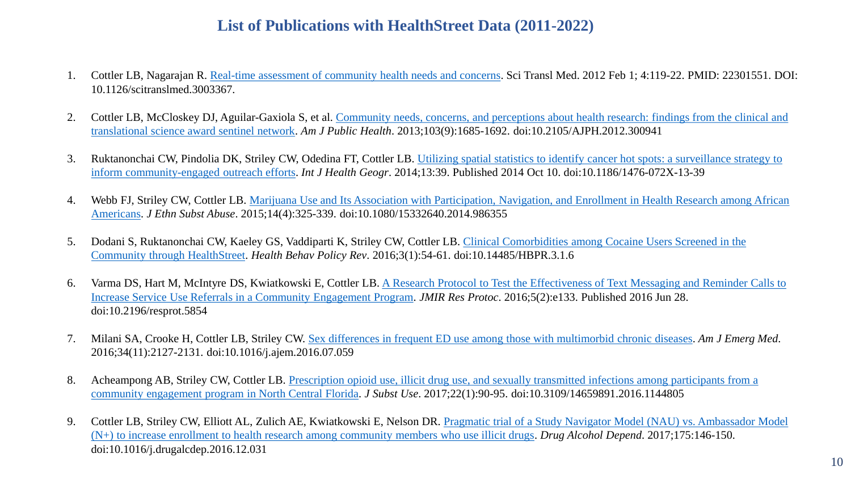- 1. Cottler LB, Nagarajan R. [Real-time assessment of community health needs and concerns.](https://pubmed.ncbi.nlm.nih.gov/22301551/) Sci Transl Med. 2012 Feb 1; 4:119-22. PMID: 22301551. DOI: 10.1126/scitranslmed.3003367.
- 2. Cottler LB, McCloskey DJ, Aguilar-Gaxiola [S, et al. Community needs, concerns, and perceptions about health research: findings from the clinical and](https://www.ncbi.nlm.nih.gov/pmc/articles/PMC3966684/) translational science award sentinel network. *Am J Public Health*. 2013;103(9):1685-1692. doi:10.2105/AJPH.2012.300941
- 3. Ruktanonchai CW, Pindolia DK, Striley CW, Odedina [FT, Cottler LB. Utilizing spatial statistics to identify cancer hot spots: a surveillance strategy to](https://www.ncbi.nlm.nih.gov/pmc/articles/PMC4271483/)  inform community-engaged outreach efforts. *Int J Health Geogr*. 2014;13:39. Published 2014 Oct 10. doi:10.1186/1476-072X-13-39
- 4. [Webb FJ, Striley CW, Cottler LB. Marijuana Use and Its Association with Participation, Navigation, and Enrollment in Health Research among African](https://www.ncbi.nlm.nih.gov/pmc/articles/PMC4654969/)  Americans. *J Ethn Subst Abuse*. 2015;14(4):325-339. doi:10.1080/15332640.2014.986355
- 5. Dodani S, Ruktanonchai CW, Kaeley [GS, Vaddiparti K, Striley CW, Cottler LB. Clinical Comorbidities among Cocaine Users Screened in the](https://www.ncbi.nlm.nih.gov/pmc/articles/PMC4808595/)  Community through HealthStreet. *Health Behav Policy Rev*. 2016;3(1):54-61. doi:10.14485/HBPR.3.1.6
- 6. [Varma DS, Hart M, McIntyre DS, Kwiatkowski E, Cottler LB. A Research Protocol to Test the Effectiveness of Text Messaging and Reminder Calls to](https://www.ncbi.nlm.nih.gov/pmc/articles/PMC4942681/)  Increase Service Use Referrals in a Community Engagement Program. *JMIR Res Protoc*. 2016;5(2):e133. Published 2016 Jun 28. doi:10.2196/resprot.5854
- 7. Milani SA, Crooke H, Cottler LB, Striley CW. [Sex differences in frequent ED use among those with multimorbid chronic diseases](https://www.ncbi.nlm.nih.gov/pmc/articles/PMC5097885/). *Am J Emerg Med*. 2016;34(11):2127-2131. doi:10.1016/j.ajem.2016.07.059
- 8. [Acheampong AB, Striley CW, Cottler LB. Prescription opioid use, illicit drug use, and sexually transmitted infections among participants from a](https://www.ncbi.nlm.nih.gov/pmc/articles/PMC5836499/)  community engagement program in North Central Florida. *J Subst Use*. 2017;22(1):90-95. doi:10.3109/14659891.2016.1144805
- 9. Cottler LB, Striley CW, Elliott AL, Zulich AE, Kwiatkowski E, Nelson DR. Pragmatic trial of a Study Navigator Model (NAU) vs. Ambassador Model [\(N+\) to increase enrollment to health research among community members who use illicit drugs.](https://www.ncbi.nlm.nih.gov/pmc/articles/PMC5494831/) *Drug Alcohol Depend*. 2017;175:146-150. doi:10.1016/j.drugalcdep.2016.12.031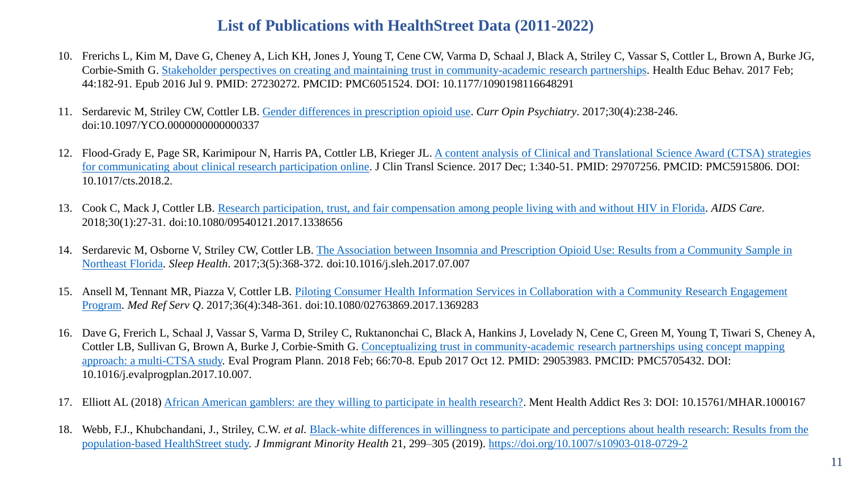- 10. Frerichs L, Kim M, Dave G, Cheney A, Lich KH, Jones J, Young T, Cene CW, Varma D, Schaal J, Black A, Striley C, Vassar S, Cottler L, Brown A, Burke JG, Corbie-Smith G. [Stakeholder perspectives on creating and maintaining trust in community-academic research partnerships.](https://pubmed.ncbi.nlm.nih.gov/27230272/) Health Educ Behav. 2017 Feb; 44:182-91. Epub 2016 Jul 9. PMID: 27230272. PMCID: PMC6051524. DOI: 10.1177/1090198116648291
- 11. Serdarevic M, Striley CW, Cottler LB. [Gender differences in prescription opioid use.](https://www.ncbi.nlm.nih.gov/pmc/articles/PMC5675036/) *Curr Opin Psychiatry*. 2017;30(4):238-246. doi:10.1097/YCO.0000000000000337
- 12. Flood-Grady E, Page SR, Karimipour [N, Harris PA, Cottler LB, Krieger JL. A content analysis of Clinical and Translational Science Award \(CTSA\) strategies](https://pubmed.ncbi.nlm.nih.gov/29707256/)  for communicating about clinical research participation online. J Clin Transl Science. 2017 Dec; 1:340-51. PMID: 29707256. PMCID: PMC5915806. DOI: 10.1017/cts.2018.2.
- 13. Cook C, Mack J, Cottler LB. [Research participation, trust, and fair compensation among people living with and without HIV in Florida.](https://www.ncbi.nlm.nih.gov/pmc/articles/PMC5858187/) *AIDS Care*. 2018;30(1):27-31. doi:10.1080/09540121.2017.1338656
- 14. Serdarevic [M, Osborne V, Striley CW, Cottler LB. The Association between Insomnia and Prescription Opioid Use: Results from a Community Sample in](https://www.ncbi.nlm.nih.gov/pmc/articles/PMC5657579/)  Northeast Florida. *Sleep Health*. 2017;3(5):368-372. doi:10.1016/j.sleh.2017.07.007
- 15. [Ansell M, Tennant MR, Piazza V, Cottler LB. Piloting Consumer Health Information Services in Collaboration with a Community Research Engagement](https://www.ncbi.nlm.nih.gov/pmc/articles/PMC5889073/)  Program. *Med Ref Serv Q*. 2017;36(4):348-361. doi:10.1080/02763869.2017.1369283
- 16. Dave G, Frerich L, Schaal J, Vassar S, Varma D, Striley C, Ruktanonchai C, Black A, Hankins J, Lovelady N, Cene C, Green M, Young T, Tiwari S, Cheney A, [Cottler LB, Sullivan G, Brown A, Burke J, Corbie-Smith G. Conceptualizing trust in community-academic research partnerships using concept mapping](https://pubmed.ncbi.nlm.nih.gov/29053983/) approach: a multi-CTSA study. Eval Program Plann. 2018 Feb; 66:70-8. Epub 2017 Oct 12. PMID: 29053983. PMCID: PMC5705432. DOI: 10.1016/j.evalprogplan.2017.10.007.
- 17. Elliott AL (2018) [African American gamblers: are they willing to participate in health research?](https://www.oatext.com/african-american-gamblers-are-they-willing-to-participate-in-health-research.php#gsc.tab=0). Ment Health Addict Res 3: DOI: 10.15761/MHAR.1000167
- 18. Webb, F.J., Khubchandani, J., Striley, C.W. *et al.* [Black-white differences in willingness to participate and perceptions about health research: Results from the](https://link.springer.com/article/10.1007%2Fs10903-018-0729-2) population-based HealthStreet study. *J Immigrant Minority Health* 21, 299–305 (2019).<https://doi.org/10.1007/s10903-018-0729-2>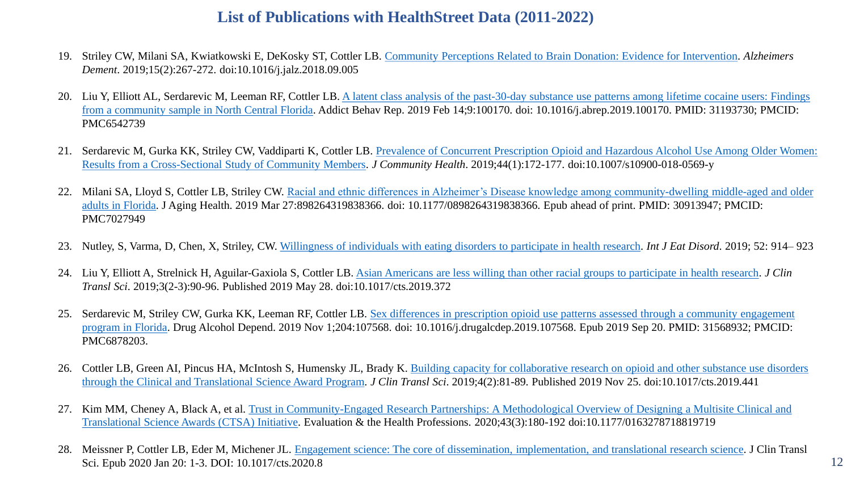- 19. Striley CW, Milani SA, Kwiatkowski E, DeKosky ST, Cottler LB. [Community Perceptions Related to Brain Donation: Evidence for Intervention](https://www.ncbi.nlm.nih.gov/pmc/articles/PMC7224447/). *Alzheimers Dement*. 2019;15(2):267-272. doi:10.1016/j.jalz.2018.09.005
- 20. Liu Y, Elliott AL, Serdarevic M, Leeman RF, Cottler LB. A latent class analysis of the past-30-day substance use patterns among lifetime cocaine users: Findings from a community sample in North Central Florida. Addict Behav Rep. 2019 Feb 14;9:100170. doi: 10.1016/j.abrep.2019.100170. PMID: 31193730; PMCID: PMC6542739
- 21. Serdarevic M, Gurka [KK, Striley CW, Vaddiparti K, Cottler LB. Prevalence of Concurrent Prescription Opioid and Hazardous Alcohol Use Among Older Women:](https://www.ncbi.nlm.nih.gov/pmc/articles/PMC7063756/) Results from a Cross-Sectional Study of Community Members. *J Community Health*. 2019;44(1):172-177. doi:10.1007/s10900-018-0569-y
- 22. [Milani SA, Lloyd S, Cottler LB, Striley CW. Racial and ethnic differences in Alzheimer's Disease knowledge among community-dwelling middle-aged and older](https://www.ncbi.nlm.nih.gov/pmc/articles/PMC7027949/)  adults in Florida. J Aging Health. 2019 Mar 27:898264319838366. doi: 10.1177/0898264319838366. Epub ahead of print. PMID: 30913947; PMCID: PMC7027949
- 23. Nutley, S, Varma, D, Chen, X, Striley, CW. [Willingness of individuals with eating disorders to participate in health research.](https://onlinelibrary.wiley.com/doi/full/10.1002/eat.23090) *Int J Eat Disord*. 2019; 52: 914– 923
- 24. Liu Y, Elliott A, Strelnick H, Aguilar-Gaxiola S, Cottler LB. [Asian Americans are less willing than other racial groups to participate in health research](https://www.ncbi.nlm.nih.gov/pmc/articles/PMC6802418/). *J Clin Transl Sci*. 2019;3(2-3):90-96. Published 2019 May 28. doi:10.1017/cts.2019.372
- 25. Serdarevic M, Striley CW, Gurka KK, Leeman RF, Cottler LB. Sex differences in prescription opioid use patterns assessed through a community engagement [program in Florida. Drug Alcohol Depend. 2019 Nov 1;204:107568. doi: 10.1016/j.drugalcdep.2019.107568. Epub](https://pubmed.ncbi.nlm.nih.gov/31568932/) 2019 Sep 20. PMID: 31568932; PMCID: PMC6878203.
- 26. Cottler LB, Green AI, Pincus HA, McIntosh S, Humensky [JL, Brady K. Building capacity for collaborative research on opioid and other substance use disorders](https://www.ncbi.nlm.nih.gov/pmc/articles/PMC7159806/)  through the Clinical and Translational Science Award Program. *J Clin Transl Sci*. 2019;4(2):81-89. Published 2019 Nov 25. doi:10.1017/cts.2019.441
- 27. [Kim MM, Cheney A, Black A, et al. Trust in Community-Engaged Research Partnerships: A Methodological Overview of Designing a Multisite Clinical and](https://journals.sagepub.com/doi/10.1177/0163278718819719) Translational Science Awards (CTSA) Initiative. Evaluation & the Health Professions. 2020;43(3):180-192 doi:10.1177/0163278718819719
- 28. Meissner P, Cottler LB, Eder M, Michener JL. [Engagement science: The core of dissemination, implementation, and translational research science.](https://www.cambridge.org/core/journals/journal-of-clinical-and-translational-science/article/engagement-science-the-core-of-dissemination-implementation-and-translational-research-science/1680BA8096F232A497A35E15E25EADBF/core-reader) J Clin Transl Sci. Epub 2020 Jan 20: 1-3. DOI: 10.1017/cts.2020.8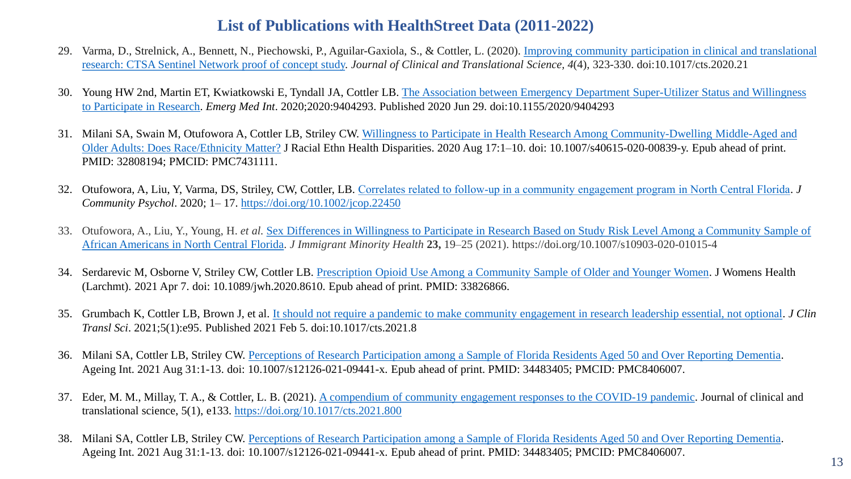- 29. Varma, D., [Strelnick, A., Bennett, N., Piechowski, P., Aguilar-Gaxiola, S., & Cottler, L. \(2020\).](https://www.ncbi.nlm.nih.gov/pmc/articles/PMC7681133/) Improving community participation in clinical and translational research: CTSA Sentinel Network proof of concept study. *Journal of Clinical and Translational Science, 4*(4), 323-330. doi:10.1017/cts.2020.21
- 30. [Young HW 2nd, Martin ET, Kwiatkowski E, Tyndall JA, Cottler LB. The Association between Emergency Department Super-Utilizer Status and Willingness](https://www.ncbi.nlm.nih.gov/pmc/articles/PMC7341402/)  to Participate in Research. *Emerg Med Int*. 2020;2020:9404293. Published 2020 Jun 29. doi:10.1155/2020/9404293
- 31. Milani SA, Swain M, Otufowora [A, Cottler LB, Striley CW. Willingness to Participate in Health Research Among Community-Dwelling Middle-Aged and](https://www.ncbi.nlm.nih.gov/pmc/articles/PMC7431111/?report=classic) Older Adults: Does Race/Ethnicity Matter? J Racial Ethn Health Disparities. 2020 Aug 17:1–10. doi: 10.1007/s40615-020-00839-y. Epub ahead of print. PMID: 32808194; PMCID: PMC7431111.
- 32. Otufowora, A, Liu, Y, Varma, DS, Striley, CW, Cottler, LB. [Correlates related to follow‐up in a community engagement program in North Central Florida.](https://onlinelibrary.wiley.com/doi/10.1002/jcop.22450) *J Community Psychol*. 2020; 1– 17. <https://doi.org/10.1002/jcop.22450>
- 33. Otufowora, A., Liu, Y., Young, H. *et al.* [Sex Differences in Willingness to Participate in Research Based on Study Risk Level Among a Community Sample of](https://link.springer.com/article/10.1007/s10903-020-01015-4)  African Americans in North Central Florida. *J Immigrant Minority Health* **23,** 19–25 (2021). https://doi.org/10.1007/s10903-020-01015-4
- 34. Serdarevic M, Osborne V, Striley CW, Cottler LB. [Prescription Opioid Use Among a Community Sample of Older and Younger Women.](https://www.liebertpub.com/doi/pdf/10.1089/jwh.2020.8610) J Womens Health (Larchmt). 2021 Apr 7. doi: 10.1089/jwh.2020.8610. Epub ahead of print. PMID: 33826866.
- 35. Grumbach K, Cottler LB, Brown J, et al. [It should not require a pandemic to make community engagement in research leadership essential, not optional.](https://www.ncbi.nlm.nih.gov/pmc/articles/PMC8134899/) *J Clin Transl Sci*. 2021;5(1):e95. Published 2021 Feb 5. doi:10.1017/cts.2021.8
- 36. Milani SA, Cottler LB, Striley CW. [Perceptions of Research Participation among a Sample of Florida Residents Aged 50 and Over Reporting Dementia.](https://www.ncbi.nlm.nih.gov/pmc/articles/PMC8406007/) Ageing Int. 2021 Aug 31:1-13. doi: 10.1007/s12126-021-09441-x. Epub ahead of print. PMID: 34483405; PMCID: PMC8406007.
- 37. Eder, M. M., Millay, T. A., & Cottler, L. B. (2021). [A compendium of community engagement responses to the COVID-19 pandemic.](https://www.ncbi.nlm.nih.gov/labs/pmc/articles/PMC8326670/) Journal of clinical and translational science, 5(1), e133.<https://doi.org/10.1017/cts.2021.800>
- 38. Milani SA, Cottler LB, Striley CW. [Perceptions of Research Participation among a Sample of Florida Residents Aged 50 and Over Reporting Dementia.](https://www.ncbi.nlm.nih.gov/pmc/articles/PMC8406007/) Ageing Int. 2021 Aug 31:1-13. doi: 10.1007/s12126-021-09441-x. Epub ahead of print. PMID: 34483405; PMCID: PMC8406007.